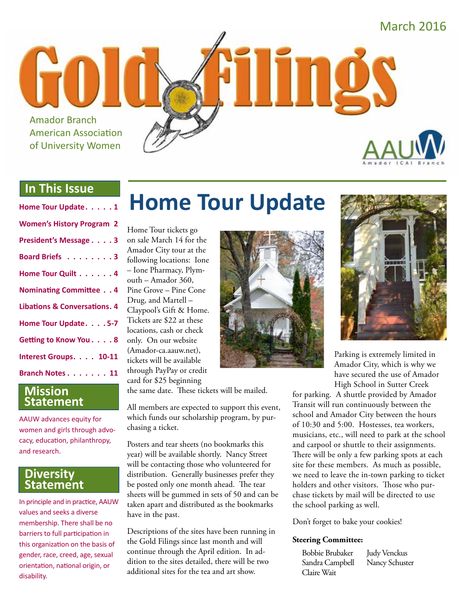

#### **In This Issue**

#### **Mission Statement**

AAUW advances equity for women and girls through advocacy, education, philanthropy, and research.

#### **Diversity Statement**

In principle and in practice, AAUW values and seeks a diverse membership. There shall be no barriers to full participation in this organization on the basis of gender, race, creed, age, sexual orientation, national origin, or disability.

# **Home Tour Update**

Home Tour tickets go on sale March 14 for the Amador City tour at the following locations: Ione – Ione Pharmacy, Plymouth – Amador 360, Pine Grove – Pine Cone Drug, and Martell – Claypool's Gift & Home. Tickets are \$22 at these locations, cash or check only. On our website (Amador-ca.aauw.net), tickets will be available through PayPay or credit card for \$25 beginning

the same date. These tickets will be mailed.

All members are expected to support this event, which funds our scholarship program, by purchasing a ticket.

Posters and tear sheets (no bookmarks this year) will be available shortly. Nancy Street will be contacting those who volunteered for distribution. Generally businesses prefer they be posted only one month ahead. The tear sheets will be gummed in sets of 50 and can be taken apart and distributed as the bookmarks have in the past.

Descriptions of the sites have been running in the Gold Filings since last month and will continue through the April edition. In addition to the sites detailed, there will be two additional sites for the tea and art show.





Parking is extremely limited in Amador City, which is why we have secured the use of Amador High School in Sutter Creek

for parking. A shuttle provided by Amador Transit will run continuously between the school and Amador City between the hours of 10:30 and 5:00. Hostesses, tea workers, musicians, etc., will need to park at the school and carpool or shuttle to their assignments. There will be only a few parking spots at each site for these members. As much as possible, we need to leave the in-town parking to ticket holders and other visitors. Those who purchase tickets by mail will be directed to use the school parking as well.

Don't forget to bake your cookies!

#### **Steering Committee:**

| <b>Bobbie Brubaker</b> | <b>Judy Venckus</b> |
|------------------------|---------------------|
| Sandra Campbell        | Nancy Schuster      |
| Claire Wait            |                     |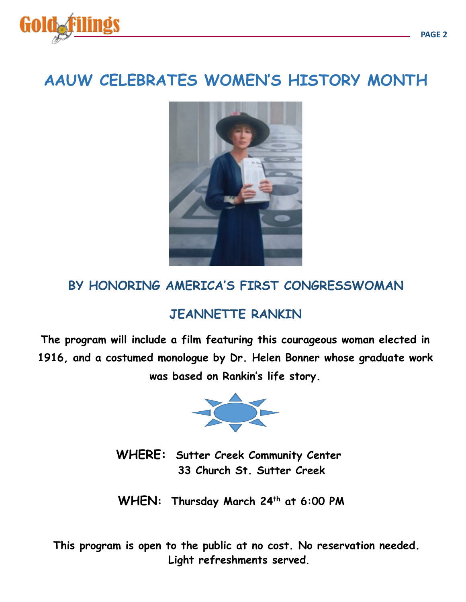

## **AAUW CELEBRATES WOMEN'S HISTORY MONTH**



### **BY HONORING AMERICA'S FIRST CONGRESSWOMAN**

### **JEANNETTE RANKIN**

**The program will include a film featuring this courageous woman elected in 1916, and a costumed monologue by Dr. Helen Bonner whose graduate work was based on Rankin's life story.** 



WHERE: Sutter Creek Community Center  **33 Church St. Sutter Creek** 

 **WHEN: Thursday March 24th at 6:00 PM** 

 **This program is open to the public at no cost. No reservation needed. Light refreshments served.**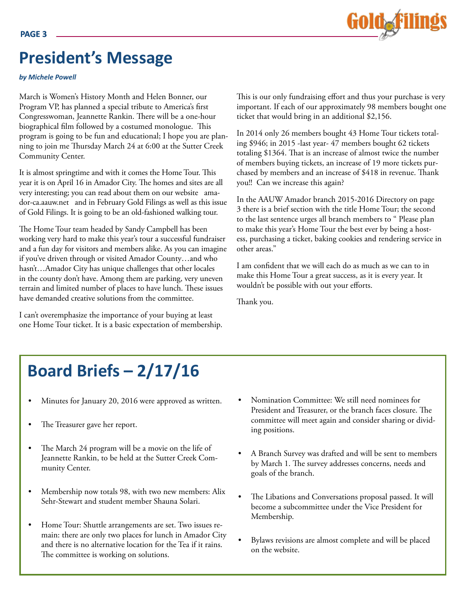## **President's Message**

*by Michele Powell*

March is Women's History Month and Helen Bonner, our Program VP, has planned a special tribute to America's first Congresswoman, Jeannette Rankin. There will be a one-hour biographical film followed by a costumed monologue. This program is going to be fun and educational; I hope you are planning to join me Thursday March 24 at 6:00 at the Sutter Creek Community Center.

It is almost springtime and with it comes the Home Tour. This year it is on April 16 in Amador City. The homes and sites are all very interesting; you can read about them on our website amador-ca.aauw.net and in February Gold Filings as well as this issue of Gold Filings. It is going to be an old-fashioned walking tour.

The Home Tour team headed by Sandy Campbell has been working very hard to make this year's tour a successful fundraiser and a fun day for visitors and members alike. As you can imagine if you've driven through or visited Amador County…and who hasn't…Amador City has unique challenges that other locales in the county don't have. Among them are parking, very uneven terrain and limited number of places to have lunch. These issues have demanded creative solutions from the committee.

I can't overemphasize the importance of your buying at least one Home Tour ticket. It is a basic expectation of membership.



In 2014 only 26 members bought 43 Home Tour tickets totaling \$946; in 2015 -last year- 47 members bought 62 tickets totaling \$1364. That is an increase of almost twice the number of members buying tickets, an increase of 19 more tickets purchased by members and an increase of \$418 in revenue. Thank you!! Can we increase this again?

In the AAUW Amador branch 2015-2016 Directory on page 3 there is a brief section with the title Home Tour; the second to the last sentence urges all branch members to " Please plan to make this year's Home Tour the best ever by being a hostess, purchasing a ticket, baking cookies and rendering service in other areas."

I am confident that we will each do as much as we can to in make this Home Tour a great success, as it is every year. It wouldn't be possible with out your efforts.

Thank you.

## **Board Briefs – 2/17/16**

- Minutes for January 20, 2016 were approved as written.
- The Treasurer gave her report.
- The March 24 program will be a movie on the life of Jeannette Rankin, to be held at the Sutter Creek Community Center.
- Membership now totals 98, with two new members: Alix Sehr-Stewart and student member Shauna Solari.
- Home Tour: Shuttle arrangements are set. Two issues remain: there are only two places for lunch in Amador City and there is no alternative location for the Tea if it rains. The committee is working on solutions.
- Nomination Committee: We still need nominees for President and Treasurer, or the branch faces closure. The committee will meet again and consider sharing or dividing positions.
- A Branch Survey was drafted and will be sent to members by March 1. The survey addresses concerns, needs and goals of the branch.
- The Libations and Conversations proposal passed. It will become a subcommittee under the Vice President for Membership.
- Bylaws revisions are almost complete and will be placed on the website.

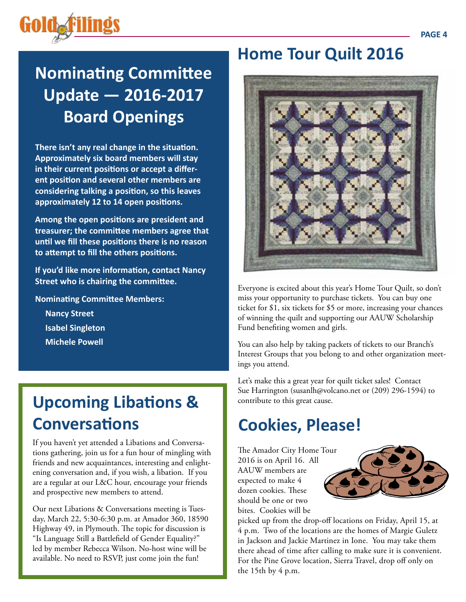## **Nominating Committee Update — 2016-2017 Board Openings**

**There isn't any real change in the situation. Approximately six board members will stay in their current positions or accept a different position and several other members are considering talking a position, so this leaves approximately 12 to 14 open positions.** 

**Among the open positions are president and treasurer; the committee members agree that until we fill these positions there is no reason to attempt to fill the others positions.**

**If you'd like more information, contact Nancy Street who is chairing the committee.**

**Nominating Committee Members:**

**Nancy Street Isabel Singleton Michele Powell**

## **Upcoming Libations & Conversations**

If you haven't yet attended a Libations and Conversations gathering, join us for a fun hour of mingling with friends and new acquaintances, interesting and enlightening conversation and, if you wish, a libation. If you are a regular at our L&C hour, encourage your friends and prospective new members to attend.

Our next Libations & Conversations meeting is Tuesday, March 22, 5:30-6:30 p.m. at Amador 360, 18590 Highway 49, in Plymouth. The topic for discussion is "Is Language Still a Battlefield of Gender Equality?" led by member Rebecca Wilson. No-host wine will be available. No need to RSVP, just come join the fun!

## **Home Tour Quilt 2016**



Everyone is excited about this year's Home Tour Quilt, so don't miss your opportunity to purchase tickets. You can buy one ticket for \$1, six tickets for \$5 or more, increasing your chances of winning the quilt and supporting our AAUW Scholarship Fund benefiting women and girls.

You can also help by taking packets of tickets to our Branch's Interest Groups that you belong to and other organization meetings you attend.

Let's make this a great year for quilt ticket sales! Contact Sue Harrington (susanlh@volcano.net or (209) 296-1594) to contribute to this great cause.

## **Cookies, Please!**

The Amador City Home Tour 2016 is on April 16. All AAUW members are expected to make 4 dozen cookies. These should be one or two bites. Cookies will be



picked up from the drop-off locations on Friday, April 15, at 4 p.m. Two of the locations are the homes of Margie Guletz in Jackson and Jackie Martinez in Ione. You may take them there ahead of time after calling to make sure it is convenient. For the Pine Grove location, Sierra Travel, drop off only on the 15th by 4 p.m.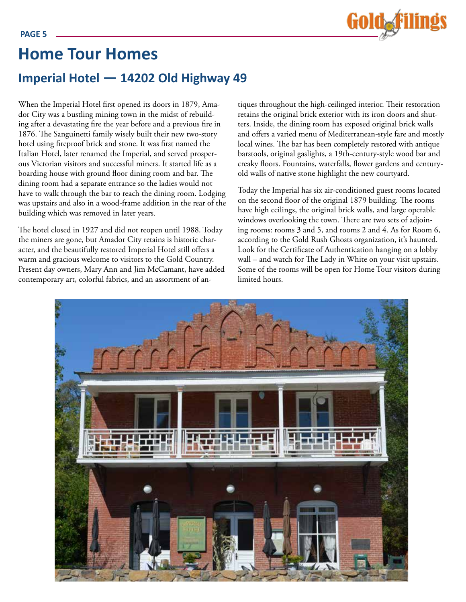

### **Imperial Hotel — 14202 Old Highway 49 Home Tour Homes**

When the Imperial Hotel first opened its doors in 1879, Amador City was a bustling mining town in the midst of rebuilding after a devastating fire the year before and a previous fire in 1876. The Sanguinetti family wisely built their new two-story hotel using fireproof brick and stone. It was first named the Italian Hotel, later renamed the Imperial, and served prosperous Victorian visitors and successful miners. It started life as a boarding house with ground floor dining room and bar. The dining room had a separate entrance so the ladies would not have to walk through the bar to reach the dining room. Lodging was upstairs and also in a wood-frame addition in the rear of the building which was removed in later years.

The hotel closed in 1927 and did not reopen until 1988. Today the miners are gone, but Amador City retains is historic character, and the beautifully restored Imperial Hotel still offers a warm and gracious welcome to visitors to the Gold Country. Present day owners, Mary Ann and Jim McCamant, have added contemporary art, colorful fabrics, and an assortment of antiques throughout the high-ceilinged interior. Their restoration retains the original brick exterior with its iron doors and shutters. Inside, the dining room has exposed original brick walls and offers a varied menu of Mediterranean-style fare and mostly local wines. The bar has been completely restored with antique barstools, original gaslights, a 19th-century-style wood bar and creaky floors. Fountains, waterfalls, flower gardens and centuryold walls of native stone highlight the new courtyard.

Today the Imperial has six air-conditioned guest rooms located on the second floor of the original 1879 building. The rooms have high ceilings, the original brick walls, and large operable windows overlooking the town. There are two sets of adjoining rooms: rooms 3 and 5, and rooms 2 and 4. As for Room 6, according to the Gold Rush Ghosts organization, it's haunted. Look for the Certificate of Authentication hanging on a lobby wall – and watch for The Lady in White on your visit upstairs. Some of the rooms will be open for Home Tour visitors during limited hours.

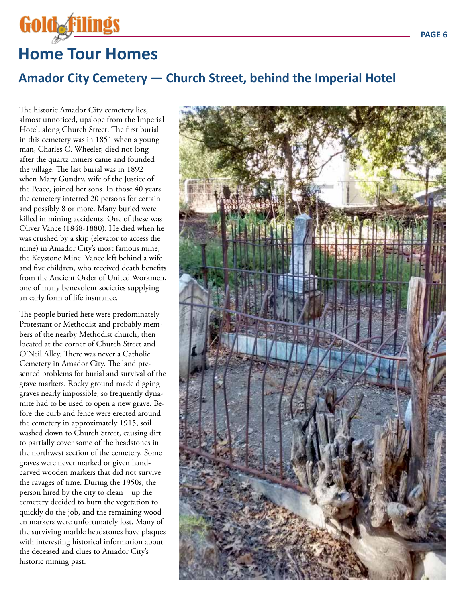# **Home Tour Homes**

Gold<sub>of</sub>filil

### **Amador City Cemetery — Church Street, behind the Imperial Hotel**

The historic Amador City cemetery lies, almost unnoticed, upslope from the Imperial Hotel, along Church Street. The first burial in this cemetery was in 1851 when a young man, Charles C. Wheeler, died not long after the quartz miners came and founded the village. The last burial was in 1892 when Mary Gundry, wife of the Justice of the Peace, joined her sons. In those 40 years the cemetery interred 20 persons for certain and possibly 8 or more. Many buried were killed in mining accidents. One of these was Oliver Vance (1848-1880). He died when he was crushed by a skip (elevator to access the mine) in Amador City's most famous mine, the Keystone Mine. Vance left behind a wife and five children, who received death benefits from the Ancient Order of United Workmen, one of many benevolent societies supplying an early form of life insurance.

The people buried here were predominately Protestant or Methodist and probably members of the nearby Methodist church, then located at the corner of Church Street and O'Neil Alley. There was never a Catholic Cemetery in Amador City. The land presented problems for burial and survival of the grave markers. Rocky ground made digging graves nearly impossible, so frequently dynamite had to be used to open a new grave. Before the curb and fence were erected around the cemetery in approximately 1915, soil washed down to Church Street, causing dirt to partially cover some of the headstones in the northwest section of the cemetery. Some graves were never marked or given handcarved wooden markers that did not survive the ravages of time. During the 1950s, the person hired by the city to clean up the cemetery decided to burn the vegetation to quickly do the job, and the remaining wooden markers were unfortunately lost. Many of the surviving marble headstones have plaques with interesting historical information about the deceased and clues to Amador City's historic mining past.

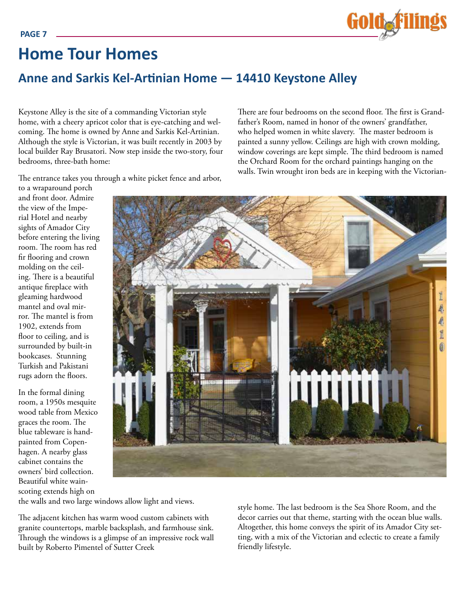

### **Home Tour Homes**

### **Anne and Sarkis Kel-Artinian Home — 14410 Keystone Alley**

Keystone Alley is the site of a commanding Victorian style home, with a cheery apricot color that is eye-catching and welcoming. The home is owned by Anne and Sarkis Kel-Artinian. Although the style is Victorian, it was built recently in 2003 by local builder Ray Brusatori. Now step inside the two-story, four bedrooms, three-bath home:

There are four bedrooms on the second floor. The first is Grandfather's Room, named in honor of the owners' grandfather, who helped women in white slavery. The master bedroom is painted a sunny yellow. Ceilings are high with crown molding, window coverings are kept simple. The third bedroom is named the Orchard Room for the orchard paintings hanging on the walls. Twin wrought iron beds are in keeping with the Victorian-

The entrance takes you through a white picket fence and arbor,

to a wraparound porch and front door. Admire the view of the Imperial Hotel and nearby sights of Amador City before entering the living room. The room has red fir flooring and crown molding on the ceiling. There is a beautiful antique fireplace with gleaming hardwood mantel and oval mirror. The mantel is from 1902, extends from floor to ceiling, and is surrounded by built-in bookcases. Stunning Turkish and Pakistani rugs adorn the floors.

In the formal dining room, a 1950s mesquite wood table from Mexico graces the room. The blue tableware is handpainted from Copenhagen. A nearby glass cabinet contains the owners' bird collection. Beautiful white wainscoting extends high on



the walls and two large windows allow light and views.

The adjacent kitchen has warm wood custom cabinets with granite countertops, marble backsplash, and farmhouse sink. Through the windows is a glimpse of an impressive rock wall built by Roberto Pimentel of Sutter Creek

style home. The last bedroom is the Sea Shore Room, and the decor carries out that theme, starting with the ocean blue walls. Altogether, this home conveys the spirit of its Amador City setting, with a mix of the Victorian and eclectic to create a family friendly lifestyle.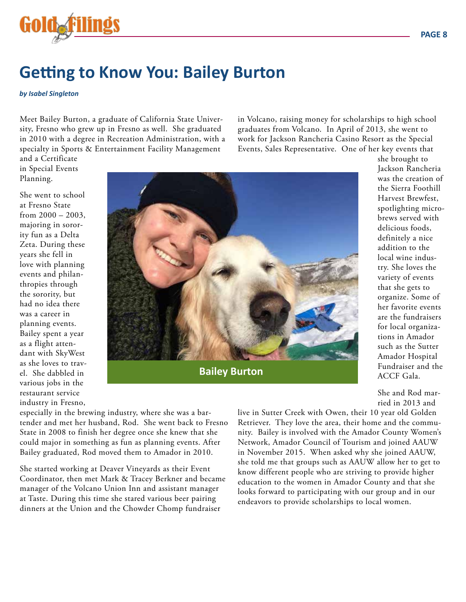

### **Getting to Know You: Bailey Burton**

#### *by Isabel Singleton*

Meet Bailey Burton, a graduate of California State University, Fresno who grew up in Fresno as well. She graduated in 2010 with a degree in Recreation Administration, with a specialty in Sports & Entertainment Facility Management

in Volcano, raising money for scholarships to high school graduates from Volcano. In April of 2013, she went to work for Jackson Rancheria Casino Resort as the Special Events, Sales Representative. One of her key events that

and a Certificate in Special Events Planning.

She went to school at Fresno State from 2000 – 2003, majoring in sorority fun as a Delta Zeta. During these years she fell in love with planning events and philanthropies through the sorority, but had no idea there was a career in planning events. Bailey spent a year as a flight attendant with SkyWest as she loves to travel. She dabbled in various jobs in the restaurant service industry in Fresno,



**Bailey Burton**

she brought to Jackson Rancheria was the creation of the Sierra Foothill Harvest Brewfest, spotlighting microbrews served with delicious foods, definitely a nice addition to the local wine industry. She loves the variety of events that she gets to organize. Some of her favorite events are the fundraisers for local organizations in Amador such as the Sutter Amador Hospital Fundraiser and the ACCF Gala.

She and Rod married in 2013 and

especially in the brewing industry, where she was a bartender and met her husband, Rod. She went back to Fresno State in 2008 to finish her degree once she knew that she could major in something as fun as planning events. After Bailey graduated, Rod moved them to Amador in 2010.

She started working at Deaver Vineyards as their Event Coordinator, then met Mark & Tracey Berkner and became manager of the Volcano Union Inn and assistant manager at Taste. During this time she stared various beer pairing dinners at the Union and the Chowder Chomp fundraiser

live in Sutter Creek with Owen, their 10 year old Golden Retriever. They love the area, their home and the community. Bailey is involved with the Amador County Women's Network, Amador Council of Tourism and joined AAUW in November 2015. When asked why she joined AAUW, she told me that groups such as AAUW allow her to get to know different people who are striving to provide higher education to the women in Amador County and that she looks forward to participating with our group and in our endeavors to provide scholarships to local women.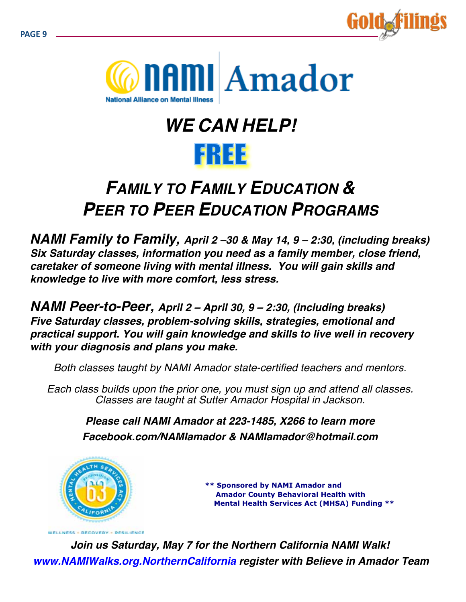



# *WE CAN HELP!*



## *FAMILY TO FAMILY EDUCATION & PEER TO PEER EDUCATION PROGRAMS*

*NAMI Family to Family, April 2 –30 & May 14, 9 – 2:30, (including breaks) Six Saturday classes, information you need as a family member, close friend, caretaker of someone living with mental illness. You will gain skills and knowledge to live with more comfort, less stress.*

*NAMI Peer-to-Peer, April 2 – April 30, 9 – 2:30, (including breaks) Five Saturday classes, problem-solving skills, strategies, emotional and practical support. You will gain knowledge and skills to live well in recovery with your diagnosis and plans you make.*

*Both classes taught by NAMI Amador state-certified teachers and mentors.*

*Each class builds upon the prior one, you must sign up and attend all classes. Classes are taught at Sutter Amador Hospital in Jackson.*

*Please call NAMI Amador at 223-1485, X266 to learn more Facebook.com/NAMIamador & NAMIamador@hotmail.com*



 **\*\* Sponsored by NAMI Amador and Amador County Behavioral Health with Mental Health Services Act (MHSA) Funding \*\***

*Join us Saturday, May 7 for the Northern California NAMI Walk! www.NAMIWalks.org.NorthernCalifornia register with Believe in Amador Team*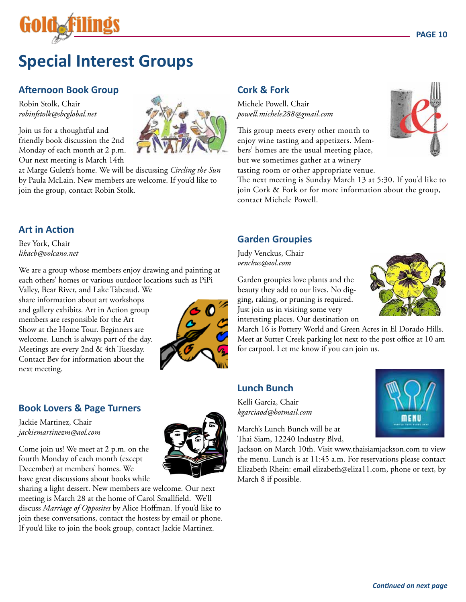

## **Special Interest Groups**

#### **Afternoon Book Group**

Robin Stolk, Chair *robinfstolk@sbcglobal.net*

Join us for a thoughtful and friendly book discussion the 2nd Monday of each month at 2 p.m. Our next meeting is March 14th

at Marge Guletz's home. We will be discussing *Circling the Sun* by Paula McLain. New members are welcome. If you'd like to join the group, contact Robin Stolk.

#### **Art in Action**

Bev York, Chair *likacb@volcano.net*

We are a group whose members enjoy drawing and painting at each others' homes or various outdoor locations such as PiPi

Valley, Bear River, and Lake Tabeaud. We share information about art workshops and gallery exhibits. Art in Action group members are responsible for the Art Show at the Home Tour. Beginners are welcome. Lunch is always part of the day. Meetings are every 2nd & 4th Tuesday. Contact Bev for information about the next meeting.



#### **Book Lovers & Page Turners**

Jackie Martinez, Chair *jackiemartinezm@aol.com*

Come join us! We meet at 2 p.m. on the fourth Monday of each month (except December) at members' homes. We have great discussions about books while

sharing a light dessert. New members are welcome. Our next meeting is March 28 at the home of Carol Smallfield. We'll discuss *Marriage of Opposites* by Alice Hoffman. If you'd like to join these conversations, contact the hostess by email or phone. If you'd like to join the book group, contact Jackie Martinez.

#### **Cork & Fork**

Michele Powell, Chair *powell.michele288@gmail.com*

This group meets every other month to enjoy wine tasting and appetizers. Members' homes are the usual meeting place, but we sometimes gather at a winery tasting room or other appropriate venue.



The next meeting is Sunday March 13 at 5:30. If you'd like to join Cork & Fork or for more information about the group, contact Michele Powell.

#### **Garden Groupies**

Judy Venckus, Chair *venckus@aol.com*

Garden groupies love plants and the beauty they add to our lives. No digging, raking, or pruning is required. Just join us in visiting some very interesting places. Our destination on

March 16 is Pottery World and Green Acres in El Dorado Hills. Meet at Sutter Creek parking lot next to the post office at 10 am for carpool. Let me know if you can join us.

#### **Lunch Bunch**

Kelli Garcia, Chair *kgarciaod@hotmail.com* 

March's Lunch Bunch will be at Thai Siam, 12240 Industry Blvd,

Jackson on March 10th. Visit www.thaisiamjackson.com to view the menu. Lunch is at 11:45 a.m. For reservations please contact Elizabeth Rhein: email elizabeth@eliza11.com, phone or text, by March 8 if possible.



nenu